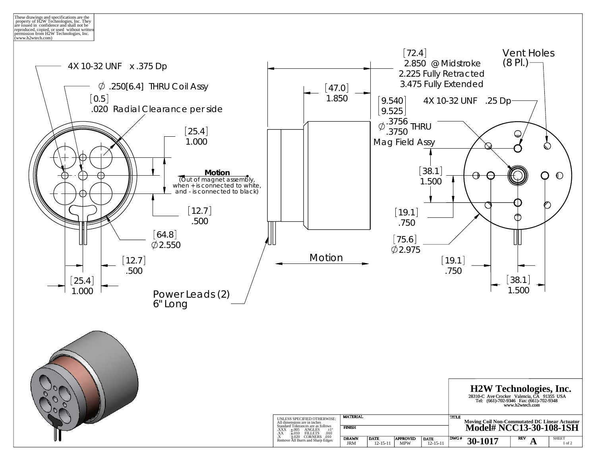